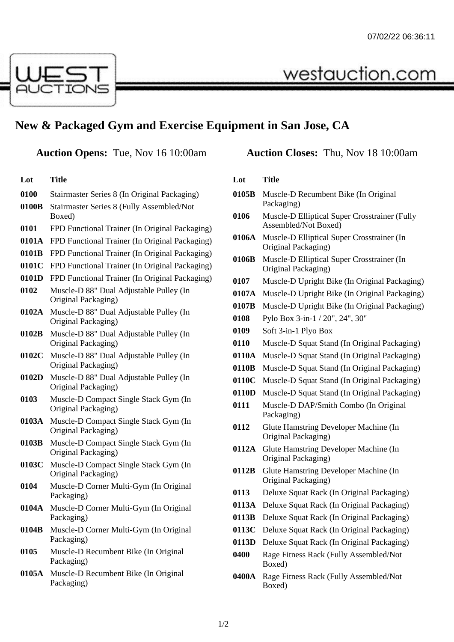

## **New & Packaged Gym and Exercise Equipment in San Jose, CA**

**Lot Title**

| 0100 | Stairmaster Series 8 (In Original Packaging) |  |  |
|------|----------------------------------------------|--|--|
|      |                                              |  |  |

- **0100B** Stairmaster Series 8 (Fully Assembled/Not Boxed)
- **0101** FPD Functional Trainer (In Original Packaging)
- **0101A** FPD Functional Trainer (In Original Packaging)
- **0101B** FPD Functional Trainer (In Original Packaging)
- **0101C** FPD Functional Trainer (In Original Packaging)
- **0101D** FPD Functional Trainer (In Original Packaging)
- **0102** Muscle-D 88" Dual Adjustable Pulley (In Original Packaging)
- **0102A** Muscle-D 88" Dual Adjustable Pulley (In Original Packaging)
- **0102B** Muscle-D 88" Dual Adjustable Pulley (In Original Packaging)
- **0102C** Muscle-D 88" Dual Adjustable Pulley (In Original Packaging)
- **0102D** Muscle-D 88" Dual Adjustable Pulley (In Original Packaging)
- **0103** Muscle-D Compact Single Stack Gym (In Original Packaging)
- **0103A** Muscle-D Compact Single Stack Gym (In Original Packaging)
- **0103B** Muscle-D Compact Single Stack Gym (In Original Packaging)
- **0103C** Muscle-D Compact Single Stack Gym (In Original Packaging)
- **0104** Muscle-D Corner Multi-Gym (In Original Packaging)
- **0104A** Muscle-D Corner Multi-Gym (In Original Packaging)
- **0104B** Muscle-D Corner Multi-Gym (In Original Packaging)
- **0105** Muscle-D Recumbent Bike (In Original Packaging)
- **0105A** Muscle-D Recumbent Bike (In Original Packaging)

## **Auction Opens:** Tue, Nov 16 10:00am **Auction Closes:** Thu, Nov 18 10:00am

westauction.com

## **Lot Title 0105B** Muscle-D Recumbent Bike (In Original Packaging) **0106** Muscle-D Elliptical Super Crosstrainer (Fully Assembled/Not Boxed) **0106A** Muscle-D Elliptical Super Crosstrainer (In Original Packaging) **0106B** Muscle-D Elliptical Super Crosstrainer (In Original Packaging) **0107** Muscle-D Upright Bike (In Original Packaging) **0107A** Muscle-D Upright Bike (In Original Packaging) **0107B** Muscle-D Upright Bike (In Original Packaging) **0108** Pylo Box 3-in-1 / 20", 24", 30" **0109** Soft 3-in-1 Plyo Box **0110** Muscle-D Squat Stand (In Original Packaging) **0110A** Muscle-D Squat Stand (In Original Packaging) **0110B** Muscle-D Squat Stand (In Original Packaging) **0110C** Muscle-D Squat Stand (In Original Packaging) **0110D** Muscle-D Squat Stand (In Original Packaging) **0111** Muscle-D DAP/Smith Combo (In Original Packaging) **0112** Glute Hamstring Developer Machine (In Original Packaging) **0112A** Glute Hamstring Developer Machine (In Original Packaging) **0112B** Glute Hamstring Developer Machine (In Original Packaging) **0113** Deluxe Squat Rack (In Original Packaging) **0113A** Deluxe Squat Rack (In Original Packaging) **0113B** Deluxe Squat Rack (In Original Packaging) **0113C** Deluxe Squat Rack (In Original Packaging) **0113D** Deluxe Squat Rack (In Original Packaging) **0400** Rage Fitness Rack (Fully Assembled/Not Boxed) **0400A** Rage Fitness Rack (Fully Assembled/Not Boxed)